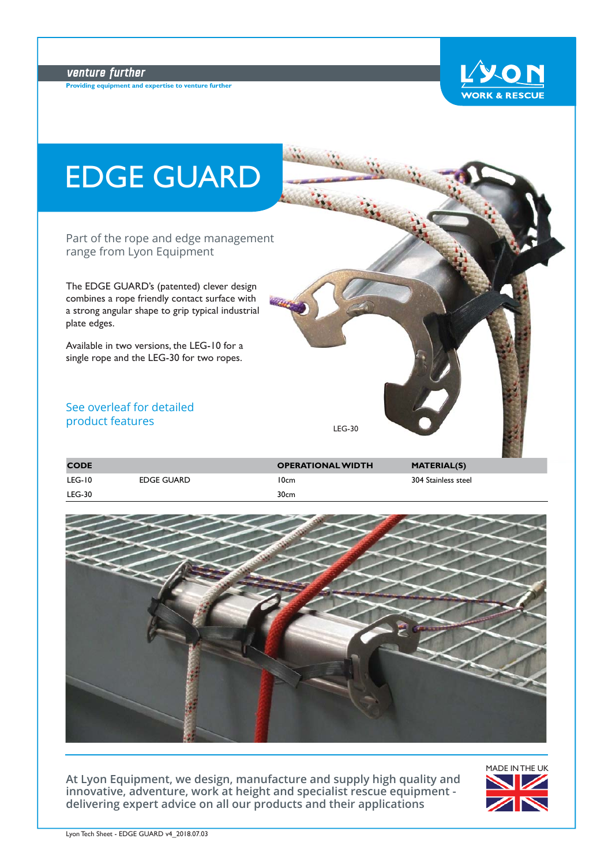# venture further

**Providing equipment and expertise to venture further**





| <b>CODE</b> |            | <b>OPERATIONAL WIDTH</b> | <b>MATERIAL(S)</b>  |
|-------------|------------|--------------------------|---------------------|
| LEG-10      | EDGE GUARD | 10cm                     | 304 Stainless steel |
| LEG-30      |            | 30cm                     |                     |



**At Lyon Equipment, we design, manufacture and supply high quality and innovative, adventure, work at height and specialist rescue equipment delivering expert advice on all our products and their applications**